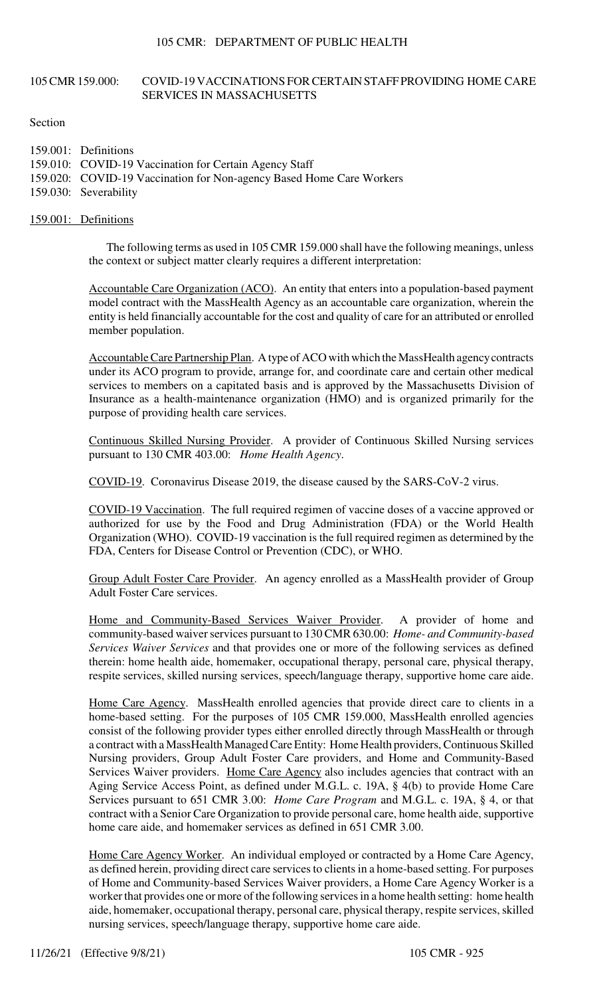# 105 CMR 159.000: COVID-19 VACCINATIONS FOR CERTAIN STAFF PROVIDING HOME CARE SERVICES IN MASSACHUSETTS

Section

| 159.001: Definitions                                                 |
|----------------------------------------------------------------------|
| 159.010: COVID-19 Vaccination for Certain Agency Staff               |
| 159.020: COVID-19 Vaccination for Non-agency Based Home Care Workers |
| 159.030: Severability                                                |

### 159.001: Definitions

The following terms as used in 105 CMR 159.000 shall have the following meanings, unless the context or subject matter clearly requires a different interpretation:

Accountable Care Organization (ACO). An entity that enters into a population-based payment model contract with the MassHealth Agency as an accountable care organization, wherein the entity is held financially accountable for the cost and quality of care for an attributed or enrolled member population.

Accountable Care Partnership Plan. A type of ACO with which the MassHealth agency contracts under its ACO program to provide, arrange for, and coordinate care and certain other medical services to members on a capitated basis and is approved by the Massachusetts Division of Insurance as a health-maintenance organization (HMO) and is organized primarily for the purpose of providing health care services.

Continuous Skilled Nursing Provider. A provider of Continuous Skilled Nursing services pursuant to 130 CMR 403.00: *Home Health Agency*.

COVID-19. Coronavirus Disease 2019, the disease caused by the SARS-CoV-2 virus.

COVID-19 Vaccination. The full required regimen of vaccine doses of a vaccine approved or authorized for use by the Food and Drug Administration (FDA) or the World Health Organization (WHO). COVID-19 vaccination is the full required regimen as determined by the FDA, Centers for Disease Control or Prevention (CDC), or WHO.

Group Adult Foster Care Provider. An agency enrolled as a MassHealth provider of Group Adult Foster Care services.

Home and Community-Based Services Waiver Provider. A provider of home and community-based waiver services pursuant to 130 CMR 630.00: *Home- and Community-based Services Waiver Services* and that provides one or more of the following services as defined therein: home health aide, homemaker, occupational therapy, personal care, physical therapy, respite services, skilled nursing services, speech/language therapy, supportive home care aide.

Home Care Agency. MassHealth enrolled agencies that provide direct care to clients in a home-based setting. For the purposes of 105 CMR 159.000, MassHealth enrolled agencies consist of the following provider types either enrolled directly through MassHealth or through a contract with a MassHealth Managed Care Entity: Home Health providers, Continuous Skilled Nursing providers, Group Adult Foster Care providers, and Home and Community-Based Services Waiver providers. Home Care Agency also includes agencies that contract with an Aging Service Access Point, as defined under M.G.L. c. 19A, § 4(b) to provide Home Care Services pursuant to 651 CMR 3.00: *Home Care Program* and M.G.L. c. 19A, § 4, or that contract with a Senior Care Organization to provide personal care, home health aide, supportive home care aide, and homemaker services as defined in 651 CMR 3.00.

Home Care Agency Worker. An individual employed or contracted by a Home Care Agency, as defined herein, providing direct care services to clients in a home-based setting. For purposes of Home and Community-based Services Waiver providers, a Home Care Agency Worker is a worker that provides one or more of the following services in a home health setting: home health aide, homemaker, occupational therapy, personal care, physical therapy, respite services, skilled nursing services, speech/language therapy, supportive home care aide.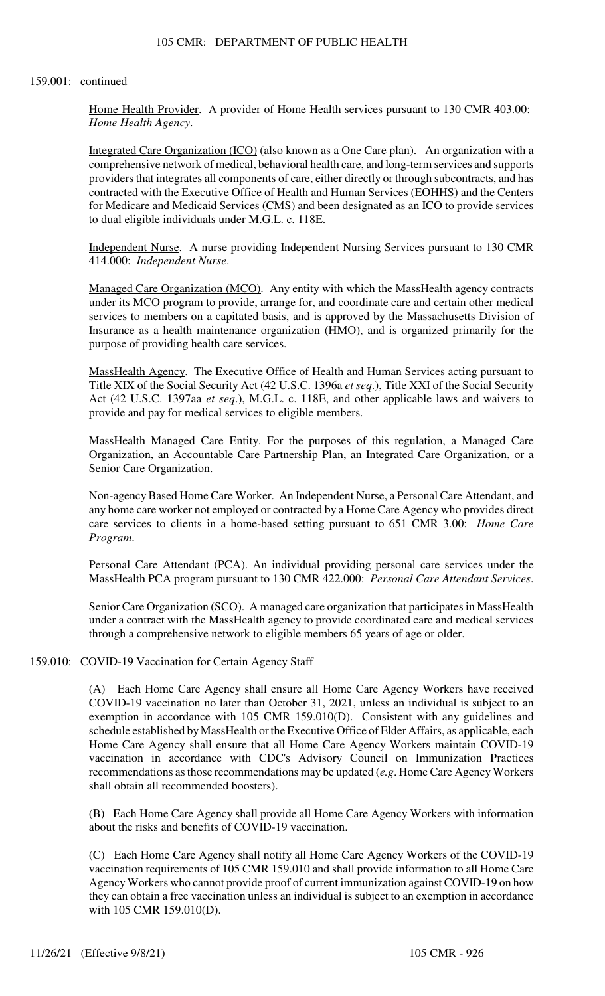#### 159.001: continued

Home Health Provider. A provider of Home Health services pursuant to 130 CMR 403.00: *Home Health Agency*.

Integrated Care Organization (ICO) (also known as a One Care plan). An organization with a comprehensive network of medical, behavioral health care, and long-term services and supports providers that integrates all components of care, either directly or through subcontracts, and has contracted with the Executive Office of Health and Human Services (EOHHS) and the Centers for Medicare and Medicaid Services (CMS) and been designated as an ICO to provide services to dual eligible individuals under M.G.L. c. 118E.

Independent Nurse. A nurse providing Independent Nursing Services pursuant to 130 CMR 414.000: *Independent Nurse*.

Managed Care Organization (MCO). Any entity with which the MassHealth agency contracts under its MCO program to provide, arrange for, and coordinate care and certain other medical services to members on a capitated basis, and is approved by the Massachusetts Division of Insurance as a health maintenance organization (HMO), and is organized primarily for the purpose of providing health care services.

MassHealth Agency. The Executive Office of Health and Human Services acting pursuant to Title XIX of the Social Security Act (42 U.S.C. 1396a *et seq*.), Title XXI of the Social Security Act (42 U.S.C. 1397aa *et seq*.), M.G.L. c. 118E, and other applicable laws and waivers to provide and pay for medical services to eligible members.

MassHealth Managed Care Entity. For the purposes of this regulation, a Managed Care Organization, an Accountable Care Partnership Plan, an Integrated Care Organization, or a Senior Care Organization.

Non-agency Based Home Care Worker. An Independent Nurse, a Personal Care Attendant, and any home care worker not employed or contracted by a Home Care Agency who provides direct care services to clients in a home-based setting pursuant to 651 CMR 3.00: *Home Care Program*.

Personal Care Attendant (PCA). An individual providing personal care services under the MassHealth PCA program pursuant to 130 CMR 422.000: *Personal Care Attendant Services*.

Senior Care Organization (SCO). A managed care organization that participates in MassHealth under a contract with the MassHealth agency to provide coordinated care and medical services through a comprehensive network to eligible members 65 years of age or older.

### 159.010: COVID-19 Vaccination for Certain Agency Staff

(A) Each Home Care Agency shall ensure all Home Care Agency Workers have received COVID-19 vaccination no later than October 31, 2021, unless an individual is subject to an exemption in accordance with 105 CMR 159.010(D). Consistent with any guidelines and schedule established by MassHealth or the Executive Office of Elder Affairs, as applicable, each Home Care Agency shall ensure that all Home Care Agency Workers maintain COVID-19 vaccination in accordance with CDC's Advisory Council on Immunization Practices recommendations as those recommendations may be updated (*e.g*. Home Care Agency Workers shall obtain all recommended boosters).

(B) Each Home Care Agency shall provide all Home Care Agency Workers with information about the risks and benefits of COVID-19 vaccination.

(C) Each Home Care Agency shall notify all Home Care Agency Workers of the COVID-19 vaccination requirements of 105 CMR 159.010 and shall provide information to all Home Care Agency Workers who cannot provide proof of current immunization against COVID-19 on how they can obtain a free vaccination unless an individual is subject to an exemption in accordance with 105 CMR 159.010(D).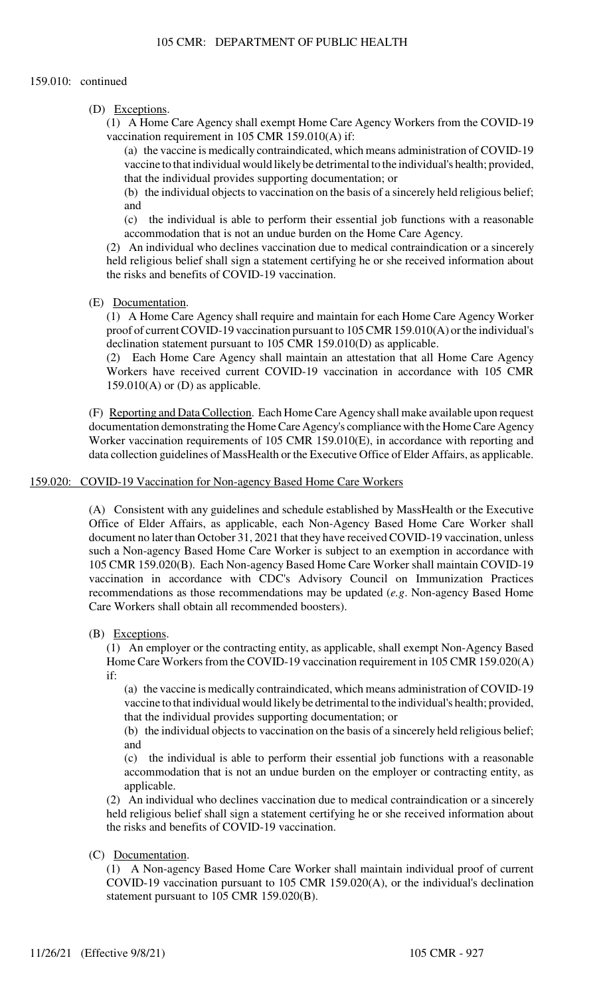### 159.010: continued

(D) Exceptions.

(1) A Home Care Agency shall exempt Home Care Agency Workers from the COVID-19 vaccination requirement in 105 CMR 159.010(A) if:

(a) the vaccine is medically contraindicated, which means administration of COVID-19 vaccine to that individual would likely be detrimental to the individual's health; provided, that the individual provides supporting documentation; or

(b) the individual objects to vaccination on the basis of a sincerely held religious belief; and

(c) the individual is able to perform their essential job functions with a reasonable accommodation that is not an undue burden on the Home Care Agency.

(2) An individual who declines vaccination due to medical contraindication or a sincerely held religious belief shall sign a statement certifying he or she received information about the risks and benefits of COVID-19 vaccination.

(E) Documentation.

(1) A Home Care Agency shall require and maintain for each Home Care Agency Worker proof of current COVID-19 vaccination pursuant to 105 CMR 159.010(A) or the individual's declination statement pursuant to 105 CMR 159.010(D) as applicable.

(2) Each Home Care Agency shall maintain an attestation that all Home Care Agency Workers have received current COVID-19 vaccination in accordance with 105 CMR  $159.010(A)$  or (D) as applicable.

(F) Reporting and Data Collection. Each Home Care Agency shall make available upon request documentation demonstrating the Home Care Agency's compliance with the Home Care Agency Worker vaccination requirements of 105 CMR 159.010(E), in accordance with reporting and data collection guidelines of MassHealth or the Executive Office of Elder Affairs, as applicable.

159.020: COVID-19 Vaccination for Non-agency Based Home Care Workers

(A) Consistent with any guidelines and schedule established by MassHealth or the Executive Office of Elder Affairs, as applicable, each Non-Agency Based Home Care Worker shall document no later than October 31, 2021 that they have received COVID-19 vaccination, unless such a Non-agency Based Home Care Worker is subject to an exemption in accordance with 105 CMR 159.020(B). Each Non-agency Based Home Care Worker shall maintain COVID-19 vaccination in accordance with CDC's Advisory Council on Immunization Practices recommendations as those recommendations may be updated (*e.g*. Non-agency Based Home Care Workers shall obtain all recommended boosters).

(B) Exceptions.

(1) An employer or the contracting entity, as applicable, shall exempt Non-Agency Based Home Care Workers from the COVID-19 vaccination requirement in 105 CMR 159.020(A) if:

(a) the vaccine is medically contraindicated, which means administration of COVID-19 vaccine to that individual would likely be detrimental to the individual's health; provided, that the individual provides supporting documentation; or

(b) the individual objects to vaccination on the basis of a sincerely held religious belief; and

(c) the individual is able to perform their essential job functions with a reasonable accommodation that is not an undue burden on the employer or contracting entity, as applicable.

(2) An individual who declines vaccination due to medical contraindication or a sincerely held religious belief shall sign a statement certifying he or she received information about the risks and benefits of COVID-19 vaccination.

(C) Documentation.

(1) A Non-agency Based Home Care Worker shall maintain individual proof of current COVID-19 vaccination pursuant to 105 CMR 159.020(A), or the individual's declination statement pursuant to 105 CMR 159.020(B).